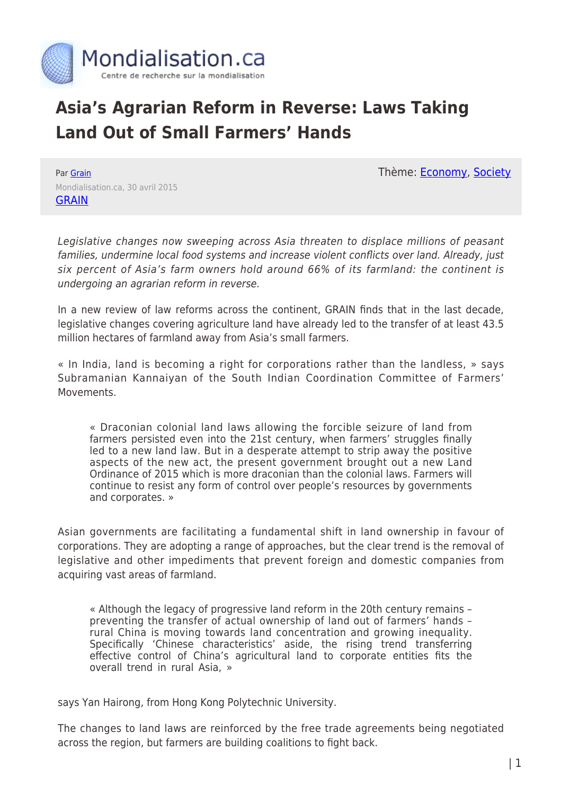

## **Asia's Agrarian Reform in Reverse: Laws Taking Land Out of Small Farmers' Hands**

Thème: [Economy,](https://www.mondialisation.ca/theme/as-economy) [Society](https://www.mondialisation.ca/theme/society)

Par [Grain](https://www.mondialisation.ca/author/grain) Mondialisation.ca, 30 avril 2015 **[GRAIN](http://www.grain.org/article/entries/5195-asia-s-agrarian-reform-in-reverse-laws-taking-land-out-of-small-farmers-hands)** 

Legislative changes now sweeping across Asia threaten to displace millions of peasant families, undermine local food systems and increase violent conflicts over land. Already, just six percent of Asia's farm owners hold around 66% of its farmland: the continent is undergoing an agrarian reform in reverse.

In a new review of law reforms across the continent, GRAIN finds that in the last decade, legislative changes covering agriculture land have already led to the transfer of at least 43.5 million hectares of farmland away from Asia's small farmers.

« In India, land is becoming a right for corporations rather than the landless, » says Subramanian Kannaiyan of the South Indian Coordination Committee of Farmers' Movements.

« Draconian colonial land laws allowing the forcible seizure of land from farmers persisted even into the 21st century, when farmers' struggles finally led to a new land law. But in a desperate attempt to strip away the positive aspects of the new act, the present government brought out a new Land Ordinance of 2015 which is more draconian than the colonial laws. Farmers will continue to resist any form of control over people's resources by governments and corporates. »

Asian governments are facilitating a fundamental shift in land ownership in favour of corporations. They are adopting a range of approaches, but the clear trend is the removal of legislative and other impediments that prevent foreign and domestic companies from acquiring vast areas of farmland.

« Although the legacy of progressive land reform in the 20th century remains – preventing the transfer of actual ownership of land out of farmers' hands – rural China is moving towards land concentration and growing inequality. Specifically 'Chinese characteristics' aside, the rising trend transferring effective control of China's agricultural land to corporate entities fits the overall trend in rural Asia, »

says Yan Hairong, from Hong Kong Polytechnic University.

The changes to land laws are reinforced by the free trade agreements being negotiated across the region, but farmers are building coalitions to fight back.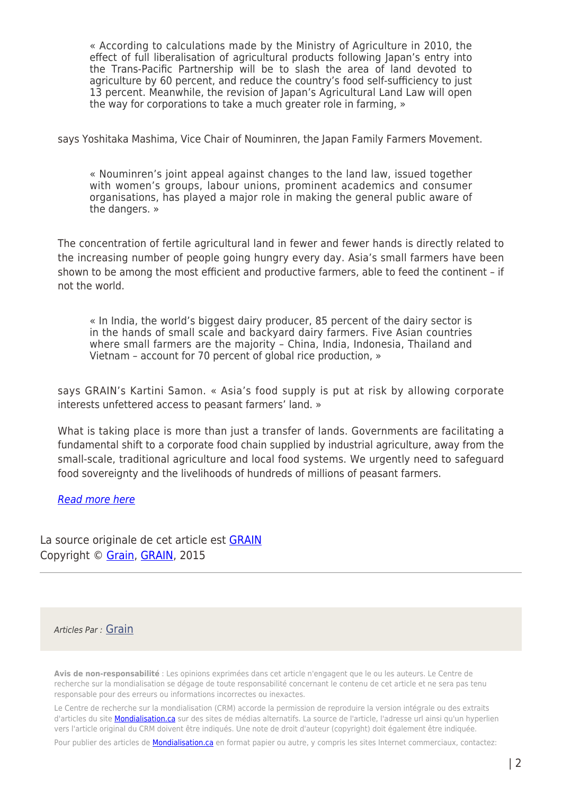« According to calculations made by the Ministry of Agriculture in 2010, the effect of full liberalisation of agricultural products following Japan's entry into the Trans-Pacific Partnership will be to slash the area of land devoted to agriculture by 60 percent, and reduce the country's food self-sufficiency to just 13 percent. Meanwhile, the revision of Japan's Agricultural Land Law will open the way for corporations to take a much greater role in farming, »

says Yoshitaka Mashima, Vice Chair of Nouminren, the Japan Family Farmers Movement.

« Nouminren's joint appeal against changes to the land law, issued together with women's groups, labour unions, prominent academics and consumer organisations, has played a major role in making the general public aware of the dangers. »

The concentration of fertile agricultural land in fewer and fewer hands is directly related to the increasing number of people going hungry every day. Asia's small farmers have been shown to be among the most efficient and productive farmers, able to feed the continent – if not the world.

« In India, the world's biggest dairy producer, 85 percent of the dairy sector is in the hands of small scale and backyard dairy farmers. Five Asian countries where small farmers are the majority – China, India, Indonesia, Thailand and Vietnam – account for 70 percent of global rice production, »

says GRAIN's Kartini Samon. « Asia's food supply is put at risk by allowing corporate interests unfettered access to peasant farmers' land. »

What is taking place is more than just a transfer of lands. Governments are facilitating a fundamental shift to a corporate food chain supplied by industrial agriculture, away from the small-scale, traditional agriculture and local food systems. We urgently need to safeguard food sovereignty and the livelihoods of hundreds of millions of peasant farmers.

## [Read more here](http://www.grain.org/article/entries/5195-asia-s-agrarian-reform-in-reverse-laws-taking-land-out-of-small-farmers-hands)

La source originale de cet article est **[GRAIN](http://www.grain.org/article/entries/5195-asia-s-agrarian-reform-in-reverse-laws-taking-land-out-of-small-farmers-hands)** Copyright © [Grain](https://www.mondialisation.ca/author/grain), [GRAIN,](http://www.grain.org/article/entries/5195-asia-s-agrarian-reform-in-reverse-laws-taking-land-out-of-small-farmers-hands) 2015

## Articles Par : [Grain](https://www.mondialisation.ca/author/grain)

**Avis de non-responsabilité** : Les opinions exprimées dans cet article n'engagent que le ou les auteurs. Le Centre de recherche sur la mondialisation se dégage de toute responsabilité concernant le contenu de cet article et ne sera pas tenu responsable pour des erreurs ou informations incorrectes ou inexactes.

Le Centre de recherche sur la mondialisation (CRM) accorde la permission de reproduire la version intégrale ou des extraits d'articles du site **Mondialisation.ca** sur des sites de médias alternatifs. La source de l'article, l'adresse url ainsi qu'un hyperlien vers l'article original du CRM doivent être indiqués. Une note de droit d'auteur (copyright) doit également être indiquée.

Pour publier des articles de **[Mondialisation.ca](https://mondialisation.ca)** en format papier ou autre, y compris les sites Internet commerciaux, contactez: